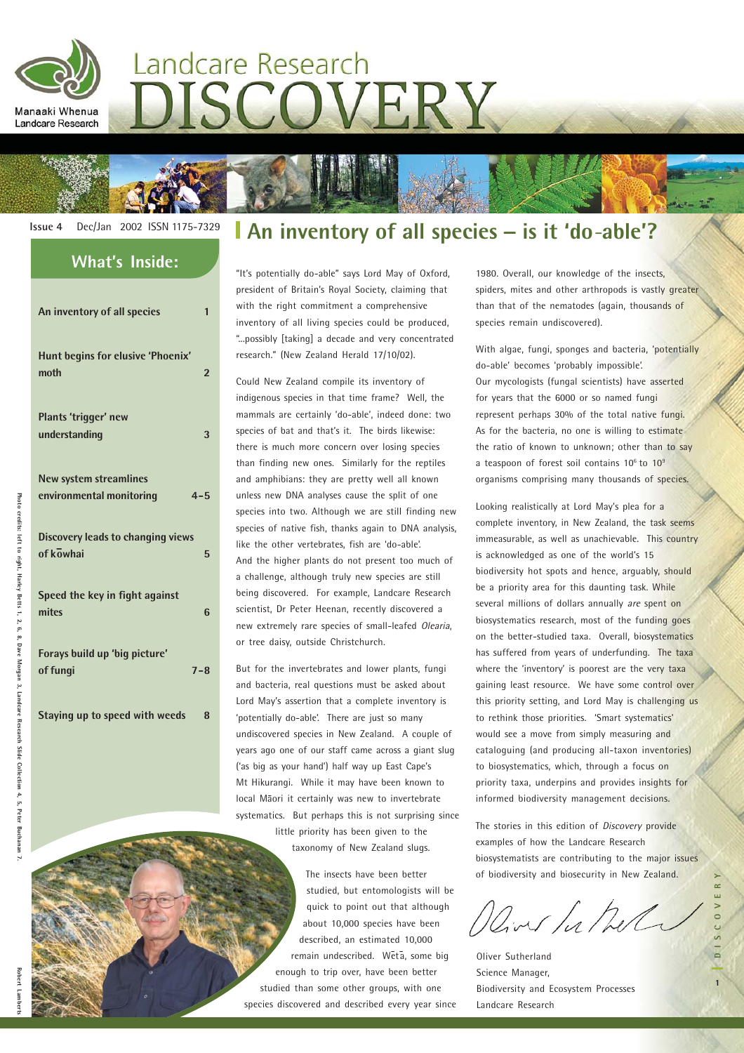

# Landcare Research DISCOVERY



| <b>What's Inside:</b>                                         |
|---------------------------------------------------------------|
| An inventory of all species<br>$\mathbf{1}$                   |
| Hunt begins for elusive 'Phoenix'<br>moth<br>$\overline{2}$   |
| Plants 'trigger' new<br>understanding<br>3                    |
| New system streamlines<br>environmental monitoring<br>$4 - 5$ |
| <b>Discovery leads to changing views</b><br>of kowhai<br>5    |
| Speed the key in fight against<br>mites<br>6                  |
| Forays build up 'big picture'<br>of fungi<br>$7 - 8$          |
|                                                               |

**Staying up to speed with weeds 8**

### **Issue 4** Dec/Jan 2002 ISSN 1175-7329 **An inventory of all species \_ is it 'do***-***able'?**

"It's potentially do-able" says Lord May of Oxford, president of Britain's Royal Society, claiming that with the right commitment a comprehensive inventory of all living species could be produced, "...possibly [taking] a decade and very concentrated research." (New Zealand Herald 17/10/02).

Could New Zealand compile its inventory of indigenous species in that time frame? Well, the mammals are certainly 'do-able', indeed done: two species of bat and that's it. The birds likewise: there is much more concern over losing species than finding new ones. Similarly for the reptiles and amphibians: they are pretty well all known unless new DNA analyses cause the split of one species into two. Although we are still finding new species of native fish, thanks again to DNA analysis, like the other vertebrates, fish are 'do-able'. And the higher plants do not present too much of a challenge, although truly new species are still being discovered. For example, Landcare Research scientist, Dr Peter Heenan, recently discovered a new extremely rare species of small-leafed Olearia, or tree daisy, outside Christchurch.

But for the invertebrates and lower plants, fungi and bacteria, real questions must be asked about Lord May's assertion that a complete inventory is 'potentially do-able'. There are just so many undiscovered species in New Zealand. A couple of years ago one of our staff came across a giant slug ('as big as your hand') half way up East Cape's Mt Hikurangi. While it may have been known to local Māori it certainly was new to invertebrate systematics. But perhaps this is not surprising since

little priority has been given to the taxonomy of New Zealand slugs.

The insects have been better studied, but entomologists will be quick to point out that although about 10,000 species have been described, an estimated 10,000 remain undescribed. Wētā, some big enough to trip over, have been better studied than some other groups, with one species discovered and described every year since 1980. Overall, our knowledge of the insects, spiders, mites and other arthropods is vastly greater than that of the nematodes (again, thousands of species remain undiscovered).

With algae, fungi, sponges and bacteria, 'potentially do-able' becomes 'probably impossible'. Our mycologists (fungal scientists) have asserted for years that the 6000 or so named fungi represent perhaps 30% of the total native fungi. As for the bacteria, no one is willing to estimate the ratio of known to unknown; other than to say a teaspoon of forest soil contains  $10^6$  to  $10^9$ organisms comprising many thousands of species.

Looking realistically at Lord May's plea for a complete inventory, in New Zealand, the task seems immeasurable, as well as unachievable. This country is acknowledged as one of the world's 15 biodiversity hot spots and hence, arguably, should be a priority area for this daunting task. While several millions of dollars annually are spent on biosystematics research, most of the funding goes on the better-studied taxa. Overall, biosystematics has suffered from years of underfunding. The taxa where the 'inventory' is poorest are the very taxa gaining least resource. We have some control over this priority setting, and Lord May is challenging us to rethink those priorities. 'Smart systematics' would see a move from simply measuring and cataloguing (and producing all-taxon inventories) to biosystematics, which, through a focus on priority taxa, underpins and provides insights for informed biodiversity management decisions.

The stories in this edition of *Discovery* provide examples of how the Landcare Research biosystematists are contributing to the major issues of biodiversity and biosecurity in New Zealand.

River hather

**1DISCOVERY**

Oliver Sutherland Science Manager, Biodiversity and Ecosystem Processes Landcare Research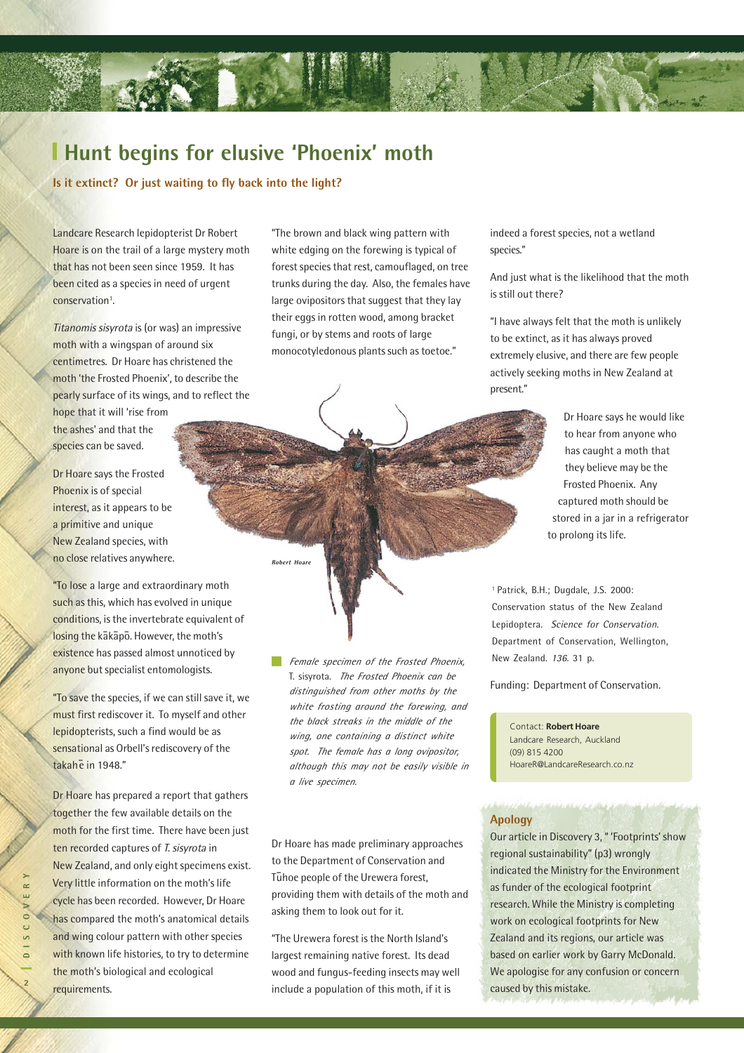#### **Hunt begins for elusive 'Phoenix' moth**

**Is it extinct? Or just waiting to fly back into the light?**

Landcare Research lepidopterist Dr Robert Hoare is on the trail of a large mystery moth that has not been seen since 1959. It has been cited as a species in need of urgent conservation<sup>1</sup>.

Titanomis sisyrota is (or was) an impressive moth with a wingspan of around six centimetres. Dr Hoare has christened the moth 'the Frosted Phoenix', to describe the pearly surface of its wings, and to reflect the

hope that it will 'rise from the ashes' and that the species can be saved.

Dr Hoare says the Frosted Phoenix is of special interest, as it appears to be a primitive and unique New Zealand species, with no close relatives anywhere.

"To lose a large and extraordinary moth such as this, which has evolved in unique conditions, is the invertebrate equivalent of losing the kakapo. However, the moth's existence has passed almost unnoticed by anyone but specialist entomologists.

"To save the species, if we can still save it, we must first rediscover it. To myself and other lepidopterists, such a find would be as sensational as Orbell's rediscovery of the takah e in 1948."

Dr Hoare has prepared a report that gathers together the few available details on the moth for the first time. There have been just ten recorded captures of T. sisyrota in New Zealand, and only eight specimens exist. Very little information on the moth's life cycle has been recorded. However, Dr Hoare has compared the moth's anatomical details and wing colour pattern with other species with known life histories, to try to determine the moth's biological and ecological requirements.

"The brown and black wing pattern with white edging on the forewing is typical of forest species that rest, camouflaged, on tree trunks during the day. Also, the females have large ovipositors that suggest that they lay their eggs in rotten wood, among bracket fungi, or by stems and roots of large monocotyledonous plants such as toetoe."

indeed a forest species, not a wetland species."

And just what is the likelihood that the moth is still out there?

"I have always felt that the moth is unlikely to be extinct, as it has always proved extremely elusive, and there are few people actively seeking moths in New Zealand at present."

> Dr Hoare says he would like to hear from anyone who has caught a moth that they believe may be the Frosted Phoenix. Any captured moth should be stored in a jar in a refrigerator to prolong its life.

*Female specimen of the Frosted Phoenix,* T. sisyrota. *The Frosted Phoenix can be distinguished from other moths by the white frosting around the forewing, and the black streaks in the middle of the wing, one containing a distinct white spot. The female has a long ovipositor, although this may not be easily visible in a live specimen.*

**Robert Hoare**

Dr Hoare has made preliminary approaches to the Department of Conservation and T - uhoe people of the Urewera forest,

providing them with details of the moth and

"The Urewera forest is the North Island's largest remaining native forest. Its dead wood and fungus-feeding insects may well include a population of this moth, if it is

asking them to look out for it.

1 Patrick, B.H.; Dugdale, J.S. 2000: Conservation status of the New Zealand Lepidoptera. Science for Conservation. Department of Conservation, Wellington, New Zealand. 136. 31 p.

Funding: Department of Conservation.

Contact: **Robert Hoare** Landcare Research, Auckland (09) 815 4200 HoareR@LandcareResearch.co.nz

#### **Apology**

Our article in Discovery 3, " 'Footprints' show regional sustainability" (p3) wrongly indicated the Ministry for the Environment as funder of the ecological footprint research. While the Ministry is completing work on ecological footprints for New Zealand and its regions, our article was based on earlier work by Garry McDonald. We apologise for any confusion or concern caused by this mistake.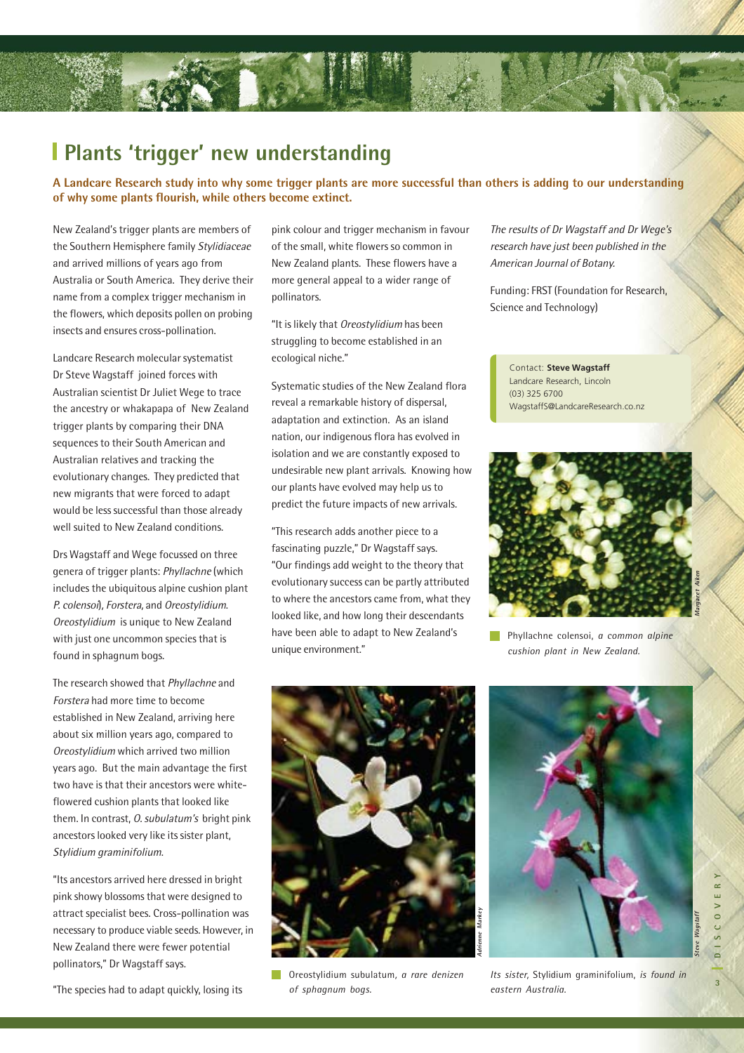#### **Plants 'trigger' new understanding**

**A Landcare Research study into why some trigger plants are more successful than others is adding to our understanding of why some plants flourish, while others become extinct.**

New Zealand's trigger plants are members of the Southern Hemisphere family Stylidiaceae and arrived millions of years ago from Australia or South America. They derive their name from a complex trigger mechanism in the flowers, which deposits pollen on probing insects and ensures cross-pollination.

Landcare Research molecular systematist Dr Steve Wagstaff joined forces with Australian scientist Dr Juliet Wege to trace the ancestry or whakapapa of New Zealand trigger plants by comparing their DNA sequences to their South American and Australian relatives and tracking the evolutionary changes. They predicted that new migrants that were forced to adapt would be less successful than those already well suited to New Zealand conditions.

Drs Wagstaff and Wege focussed on three genera of trigger plants: Phyllachne (which includes the ubiquitous alpine cushion plant P. colensoi), Forstera, and Oreostylidium. Oreostylidium is unique to New Zealand with just one uncommon species that is found in sphagnum bogs.

The research showed that Phyllachne and Forstera had more time to become established in New Zealand, arriving here about six million years ago, compared to Oreostylidium which arrived two million years ago. But the main advantage the first two have is that their ancestors were whiteflowered cushion plants that looked like them. In contrast, O. subulatum's bright pink ancestors looked very like its sister plant, Stylidium graminifolium.

"Its ancestors arrived here dressed in bright pink showy blossoms that were designed to attract specialist bees. Cross-pollination was necessary to produce viable seeds. However, in New Zealand there were fewer potential pollinators," Dr Wagstaff says.

"The species had to adapt quickly, losing its

pink colour and trigger mechanism in favour of the small, white flowers so common in New Zealand plants. These flowers have a more general appeal to a wider range of pollinators.

"It is likely that Oreostylidium has been struggling to become established in an ecological niche."

Systematic studies of the New Zealand flora reveal a remarkable history of dispersal, adaptation and extinction. As an island nation, our indigenous flora has evolved in isolation and we are constantly exposed to undesirable new plant arrivals. Knowing how our plants have evolved may help us to predict the future impacts of new arrivals.

"This research adds another piece to a fascinating puzzle," Dr Wagstaff says. "Our findings add weight to the theory that evolutionary success can be partly attributed to where the ancestors came from, what they looked like, and how long their descendants have been able to adapt to New Zealand's unique environment."

The results of Dr Wagstaff and Dr Wege's research have just been published in the American Journal of Botany.

Funding: FRST (Foundation for Research, Science and Technology)

Contact: **Steve Wagstaff** Landcare Research, Lincoln (03) 325 6700 WagstaffS@LandcareResearch.co.nz



Phyllachne colensoi, *a common alpine cushion plant in New Zealand.*



Oreostylidium subulatum, *a rare denizen of sphagnum bogs.*



**3DISCOVERY**  $\sim 0$  $\overline{c}$  $\overline{3}$ 

 $\sim$ 

**Steve Wagstaff**

*Its sister,* Stylidium graminifolium, *is found in eastern Australia.*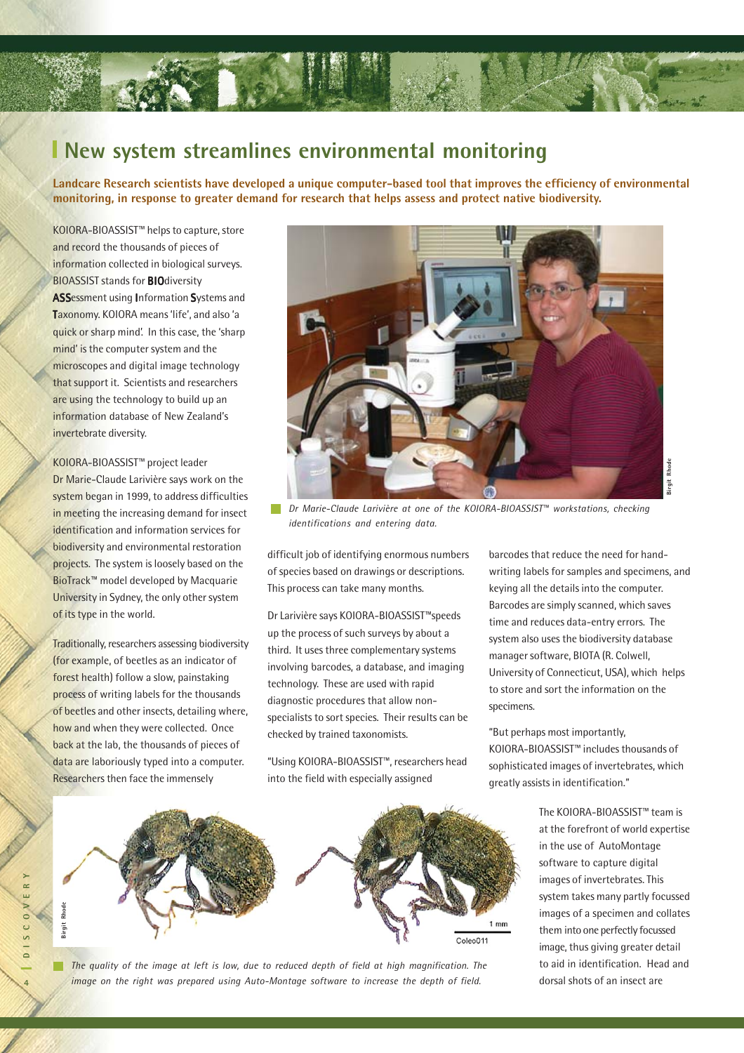

#### **New system streamlines environmental monitoring**

**Landcare Research scientists have developed a unique computer-based tool that improves the efficiency of environmental monitoring, in response to greater demand for research that helps assess and protect native biodiversity.**

KOIORA-BIOASSIST™ helps to capture, store and record the thousands of pieces of information collected in biological surveys. **BIOASSIST stands for BIOdiversity** ASSessment using Information Systems and Taxonomy. KOIORA means 'life', and also 'a quick or sharp mind'. In this case, the 'sharp mind' is the computer system and the microscopes and digital image technology that support it. Scientists and researchers are using the technology to build up an information database of New Zealand's invertebrate diversity.

KOIORA-BIOASSIST™ project leader Dr Marie-Claude Larivière says work on the system began in 1999, to address difficulties in meeting the increasing demand for insect identification and information services for biodiversity and environmental restoration projects. The system is loosely based on the BioTrack™ model developed by Macquarie University in Sydney, the only other system of its type in the world.

Traditionally, researchers assessing biodiversity (for example, of beetles as an indicator of forest health) follow a slow, painstaking process of writing labels for the thousands of beetles and other insects, detailing where, how and when they were collected. Once back at the lab, the thousands of pieces of data are laboriously typed into a computer. Researchers then face the immensely



*Dr Marie-Claude Larivière at one of the KOIORA-BIOASSIST™ workstations, checking identifications and entering data.*

difficult job of identifying enormous numbers of species based on drawings or descriptions. This process can take many months.

Dr Larivière says KOIORA-BIOASSIST™speeds up the process of such surveys by about a third. It uses three complementary systems involving barcodes, a database, and imaging technology. These are used with rapid diagnostic procedures that allow nonspecialists to sort species. Their results can be checked by trained taxonomists.

"Using KOIORA-BIOASSIST™, researchers head into the field with especially assigned

barcodes that reduce the need for handwriting labels for samples and specimens, and keying all the details into the computer. Barcodes are simply scanned, which saves time and reduces data-entry errors. The system also uses the biodiversity database manager software, BIOTA (R. Colwell, University of Connecticut, USA), which helps to store and sort the information on the specimens.

"But perhaps most importantly, KOIORA-BIOASSIST™ includes thousands of sophisticated images of invertebrates, which greatly assists in identification."

> The KOIORA-BIOASSIST™ team is at the forefront of world expertise in the use of AutoMontage software to capture digital images of invertebrates. This system takes many partly focussed images of a specimen and collates them into one perfectly focussed image, thus giving greater detail to aid in identification. Head and dorsal shots of an insect are



*The quality of the image at left is low, due to reduced depth of field at high magnification. The image on the right was prepared using Auto-Montage software to increase the depth of field.*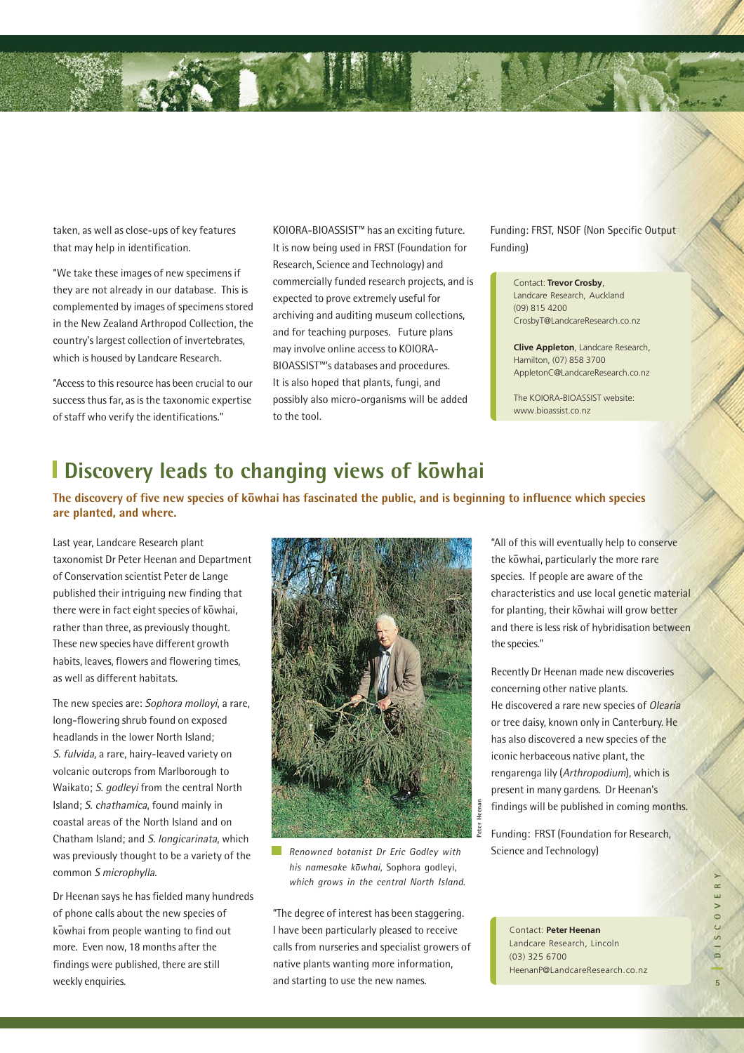taken, as well as close-ups of key features that may help in identification.

"We take these images of new specimens if they are not already in our database. This is complemented by images of specimens stored in the New Zealand Arthropod Collection, the country's largest collection of invertebrates, which is housed by Landcare Research.

"Access to this resource has been crucial to our success thus far, as is the taxonomic expertise of staff who verify the identifications."

KOIORA-BIOASSIST™ has an exciting future. It is now being used in FRST (Foundation for Research, Science and Technology) and commercially funded research projects, and is expected to prove extremely useful for archiving and auditing museum collections, and for teaching purposes. Future plans may involve online access to KOIORA-BIOASSIST™'s databases and procedures. It is also hoped that plants, fungi, and possibly also micro-organisms will be added to the tool.

Funding: FRST, NSOF (Non Specific Output Funding)

> Contact: **Trevor Crosby**, Landcare Research, Auckland (09) 815 4200 CrosbyT@LandcareResearch.co.nz

**Clive Appleton**, Landcare Research, Hamilton, (07) 858 3700 AppletonC@LandcareResearch.co.nz

The KOIORA-BIOASSIST website: www.bioassist.co.nz

## **Discovery leads to changing views of kowhai**

The discovery of five new species of kōwhai has fascinated the public, and is beginning to influence which species **are planted, and where.**

Last year, Landcare Research plant taxonomist Dr Peter Heenan and Department of Conservation scientist Peter de Lange published their intriguing new finding that .<br>there were in fact eight species of kowhai, rather than three, as previously thought. These new species have different growth habits, leaves, flowers and flowering times, as well as different habitats.

The new species are: Sophora molloyi, a rare, long-flowering shrub found on exposed headlands in the lower North Island; S. fulvida, a rare, hairy-leaved variety on volcanic outcrops from Marlborough to Waikato; S. godleyi from the central North Island; S. chathamica, found mainly in coastal areas of the North Island and on Chatham Island; and S. longicarinata, which was previously thought to be a variety of the common S microphylla.

Dr Heenan says he has fielded many hundreds of phone calls about the new species of k - owhai from people wanting to find out more. Even now, 18 months after the findings were published, there are still weekly enquiries.



*Renowned botanist Dr Eric Godley with*  $his$  namesake kowhai, Sophora godleyi, *which grows in the central North Island.*

"The degree of interest has been staggering. I have been particularly pleased to receive calls from nurseries and specialist growers of native plants wanting more information, and starting to use the new names.

"All of this will eventually help to conserve the kōwhai, particularly the more rare species. If people are aware of the characteristics and use local genetic material for planting, their kōwhai will grow better and there is less risk of hybridisation between the species."

Recently Dr Heenan made new discoveries concerning other native plants. He discovered a rare new species of Olearia or tree daisy, known only in Canterbury. He has also discovered a new species of the iconic herbaceous native plant, the rengarenga lily (Arthropodium), which is present in many gardens. Dr Heenan's findings will be published in coming months.

Funding: FRST (Foundation for Research, Science and Technology)

Contact: **Peter Heenan** Landcare Research, Lincoln (03) 325 6700 HeenanP@LandcareResearch.co.nz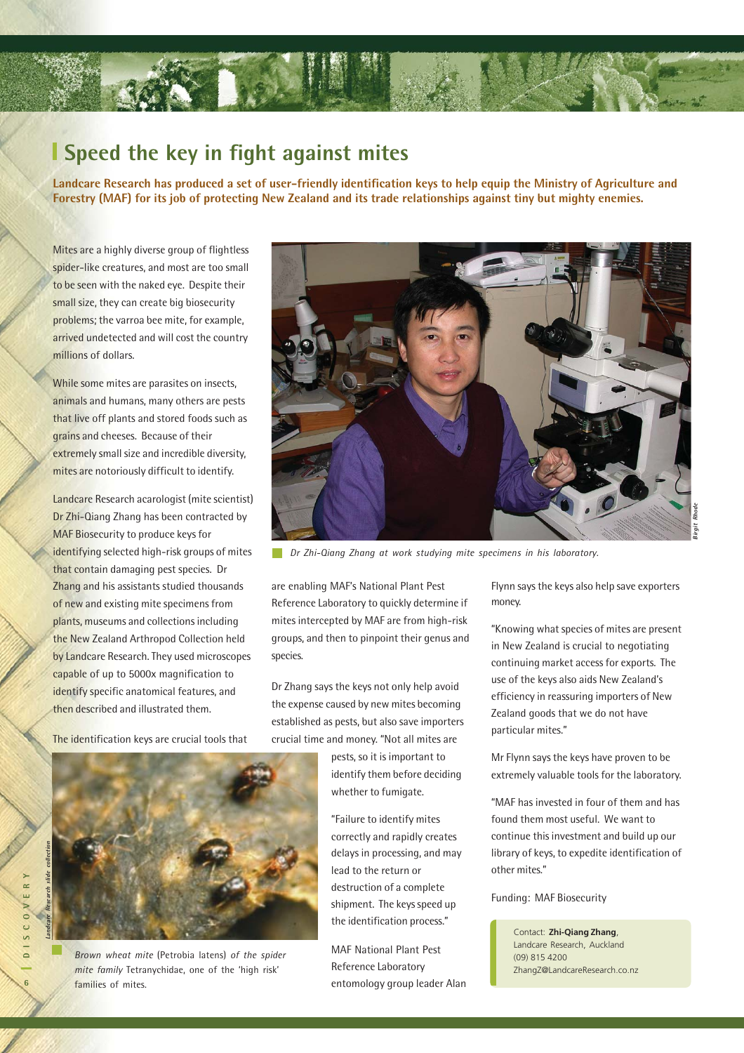

#### **Speed the key in fight against mites**

**Landcare Research has produced a set of user-friendly identification keys to help equip the Ministry of Agriculture and Forestry (MAF) for its job of protecting New Zealand and its trade relationships against tiny but mighty enemies.**

Mites are a highly diverse group of flightless spider-like creatures, and most are too small to be seen with the naked eye. Despite their small size, they can create big biosecurity problems; the varroa bee mite, for example, arrived undetected and will cost the country millions of dollars.

While some mites are parasites on insects, animals and humans, many others are pests that live off plants and stored foods such as grains and cheeses. Because of their extremely small size and incredible diversity, mites are notoriously difficult to identify.

Landcare Research acarologist (mite scientist) Dr Zhi-Qiang Zhang has been contracted by MAF Biosecurity to produce keys for identifying selected high-risk groups of mites that contain damaging pest species. Dr Zhang and his assistants studied thousands of new and existing mite specimens from plants, museums and collections including the New Zealand Arthropod Collection held by Landcare Research. They used microscopes capable of up to 5000x magnification to identify specific anatomical features, and then described and illustrated them.

The identification keys are crucial tools that



*Brown wheat mite* (Petrobia latens) *of the spider mite family* Tetranychidae, one of the 'high risk' families of mites.



*Dr Zhi-Qiang Zhang at work studying mite specimens in his laboratory.*

are enabling MAF's National Plant Pest Reference Laboratory to quickly determine if mites intercepted by MAF are from high-risk groups, and then to pinpoint their genus and species.

Dr Zhang says the keys not only help avoid the expense caused by new mites becoming established as pests, but also save importers crucial time and money. "Not all mites are

> pests, so it is important to identify them before deciding whether to fumigate.

> "Failure to identify mites correctly and rapidly creates delays in processing, and may lead to the return or destruction of a complete shipment. The keys speed up the identification process."

MAF National Plant Pest Reference Laboratory entomology group leader Alan Flynn says the keys also help save exporters money.

"Knowing what species of mites are present in New Zealand is crucial to negotiating continuing market access for exports. The use of the keys also aids New Zealand's efficiency in reassuring importers of New Zealand goods that we do not have particular mites."

Mr Flynn says the keys have proven to be extremely valuable tools for the laboratory.

"MAF has invested in four of them and has found them most useful. We want to continue this investment and build up our library of keys, to expedite identification of other mites."

Funding: MAF Biosecurity

Contact: **Zhi-Qiang Zhang**, Landcare Research, Auckland (09) 815 4200 ZhangZ@LandcareResearch.co.nz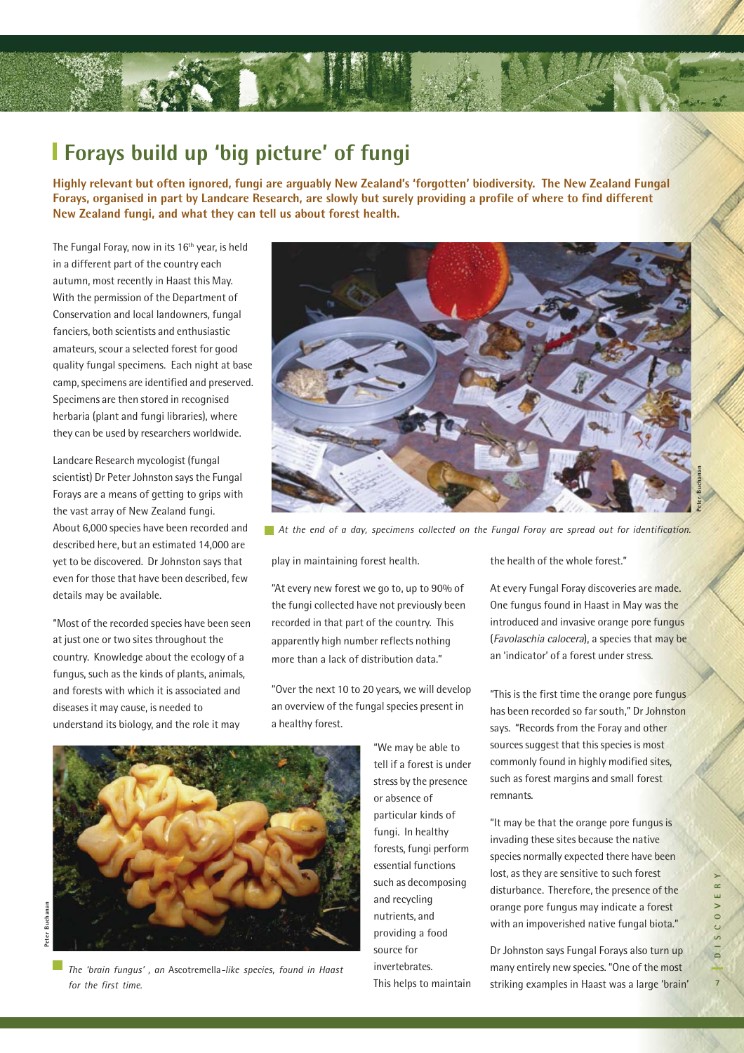

#### **Forays build up 'big picture' of fungi**

**Highly relevant but often ignored, fungi are arguably New Zealand's 'forgotten' biodiversity. The New Zealand Fungal Forays, organised in part by Landcare Research, are slowly but surely providing a profile of where to find different New Zealand fungi, and what they can tell us about forest health.**

The Fungal Foray, now in its 16<sup>th</sup> year, is held in a different part of the country each autumn, most recently in Haast this May. With the permission of the Department of Conservation and local landowners, fungal fanciers, both scientists and enthusiastic amateurs, scour a selected forest for good quality fungal specimens. Each night at base camp, specimens are identified and preserved. Specimens are then stored in recognised herbaria (plant and fungi libraries), where they can be used by researchers worldwide.

Landcare Research mycologist (fungal scientist) Dr Peter Johnston says the Fungal Forays are a means of getting to grips with the vast array of New Zealand fungi. About 6,000 species have been recorded and described here, but an estimated 14,000 are yet to be discovered. Dr Johnston says that even for those that have been described, few details may be available.

"Most of the recorded species have been seen at just one or two sites throughout the country. Knowledge about the ecology of a fungus, such as the kinds of plants, animals, and forests with which it is associated and diseases it may cause, is needed to understand its biology, and the role it may



*At the end of a day, specimens collected on the Fungal Foray are spread out for identification.*

play in maintaining forest health.

"At every new forest we go to, up to 90% of the fungi collected have not previously been recorded in that part of the country. This apparently high number reflects nothing more than a lack of distribution data."

"Over the next 10 to 20 years, we will develop an overview of the fungal species present in a healthy forest.

> "We may be able to tell if a forest is under stress by the presence or absence of particular kinds of fungi. In healthy forests, fungi perform essential functions such as decomposing and recycling nutrients, and providing a food source for invertebrates. This helps to maintain

the health of the whole forest."

At every Fungal Foray discoveries are made. One fungus found in Haast in May was the introduced and invasive orange pore fungus (Favolaschia calocera), a species that may be an 'indicator' of a forest under stress.

"This is the first time the orange pore fungus has been recorded so far south," Dr Johnston says. "Records from the Foray and other sources suggest that this species is most commonly found in highly modified sites, such as forest margins and small forest remnants.

"It may be that the orange pore fungus is invading these sites because the native species normally expected there have been lost, as they are sensitive to such forest disturbance. Therefore, the presence of the orange pore fungus may indicate a forest with an impoverished native fungal biota."

Dr Johnston says Fungal Forays also turn up many entirely new species. "One of the most striking examples in Haast was a large 'brain'

*for the first time.*